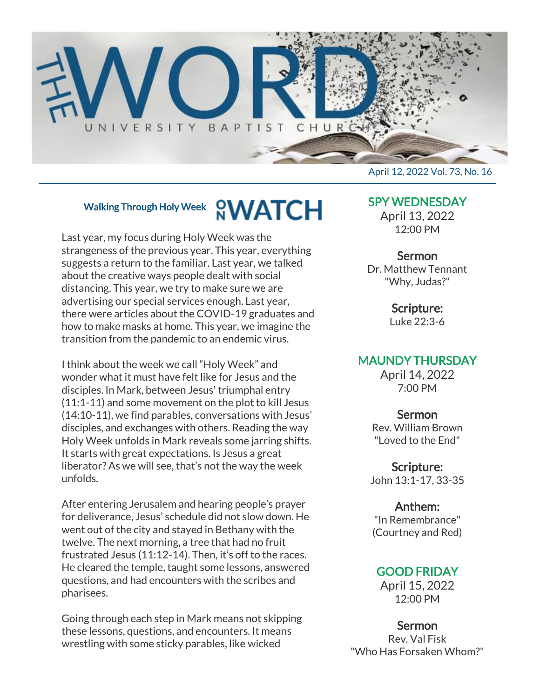

## Walking Through Holy Week **CWATCH**

Last year, my focus during Holy Week was the strangeness of the previous year. This year, everything suggests a return to the familiar. Last year, we talked about the creative ways people dealt with social distancing. This year, we try to make sure we are advertising our special services enough. Last year, there were articles about the COVID-19 graduates and how to make masks at home. This year, we imagine the transition from the pandemic to an endemic virus.

I think about the week we call "Holy Week" and wonder what it must have felt like for Jesus and the disciples. In Mark, between Jesus' triumphal entry (11:1-11) and some movement on the plot to kill Jesus (14:10-11), we find parables, conversations with Jesus' disciples, and exchanges with others. Reading the way Holy Week unfolds in Mark reveals some jarring shifts. It starts with great expectations. Is Jesus a great liberator? As we will see, that's not the way the week unfolds.

After entering Jerusalem and hearing people's prayer for deliverance, Jesus' schedule did not slow down. He went out of the city and stayed in Bethany with the twelve. The next morning, a tree that had no fruit frustrated Jesus (11:12-14). Then, it's off to the races. He cleared the temple, taught some lessons, answered questions, and had encounters with the scribes and pharisees.

Going through each step in Mark means not skipping these lessons, questions, and encounters. It means wrestling with some sticky parables, like wicked

April 12, 2022 Vol. 73, No. 16

## SPY WEDNESDAY

April 13, 2022 12:00 PM

## Sermon

Dr. Matthew Tennant "Why, Judas?"

Scripture:

Luke 22:3-6

## MAUNDY THURSDAY

April 14, 2022 7:00 PM

#### Sermon

Rev. William Brown "Loved to the End"

Scripture: John 13:1-17, 33-35

#### Anthem:

"In Remembrance" (Courtney and Red)

## GOOD FRIDAY

April 15, 2022 12:00 PM

#### Sermon

Rev. Val Fisk "Who Has Forsaken Whom?"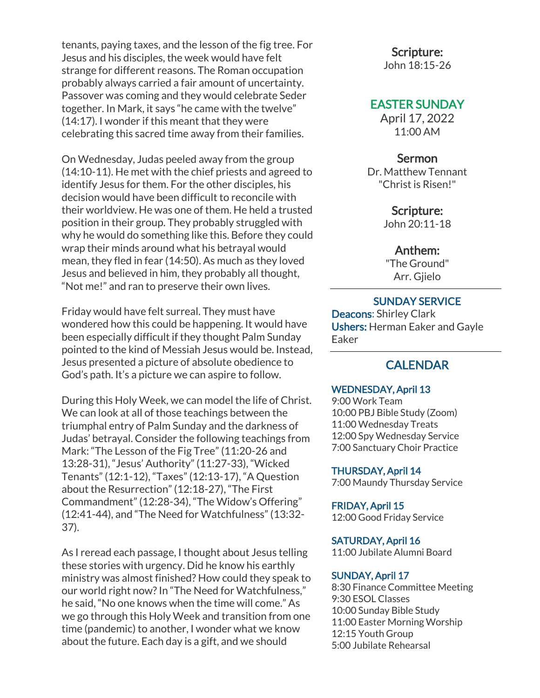tenants, paying taxes, and the lesson of the fig tree. For Jesus and his disciples, the week would have felt strange for different reasons. The Roman occupation probably always carried a fair amount of uncertainty. Passover was coming and they would celebrate Seder together. In Mark, it says "he came with the twelve" (14:17). I wonder if this meant that they were celebrating this sacred time away from their families.

On Wednesday, Judas peeled away from the group (14:10-11). He met with the chief priests and agreed to identify Jesus for them. For the other disciples, his decision would have been difficult to reconcile with their worldview. He was one of them. He held a trusted position in their group. They probably struggled with why he would do something like this. Before they could wrap their minds around what his betrayal would mean, they fled in fear (14:50). As much as they loved Jesus and believed in him, they probably all thought, "Not me!" and ran to preserve their own lives.

Friday would have felt surreal. They must have wondered how this could be happening. It would have been especially difficult if they thought Palm Sunday pointed to the kind of Messiah Jesus would be. Instead, Jesus presented a picture of absolute obedience to God's path. It's a picture we can aspire to follow.

During this Holy Week, we can model the life of Christ. We can look at all of those teachings between the triumphal entry of Palm Sunday and the darkness of Judas' betrayal. Consider the following teachings from Mark: "The Lesson of the Fig Tree" (11:20-26 and 13:28-31), "Jesus' Authority" (11:27-33), "Wicked Tenants" (12:1-12), "Taxes" (12:13-17), "A Question about the Resurrection" (12:18-27), "The First Commandment" (12:28-34), "The Widow's Offering" (12:41-44), and "The Need for Watchfulness" (13:32- 37).

As I reread each passage, I thought about Jesus telling these stories with urgency. Did he know his earthly ministry was almost finished? How could they speak to our world right now? In "The Need for Watchfulness," he said, "No one knows when the time will come." As we go through this Holy Week and transition from one time (pandemic) to another, I wonder what we know about the future. Each day is a gift, and we should

#### Scripture:

John 18:15-26

## EASTER SUNDAY

April 17, 2022 11:00 AM

#### Sermon

Dr. Matthew Tennant "Christ is Risen!"

#### Scripture:

John 20:11-18

#### Anthem:

"The Ground" Arr. Gjielo

#### SUNDAY SERVICE

Deacons: Shirley Clark Ushers: Herman Eaker and Gayle Eaker

## **CALENDAR**

#### WEDNESDAY, April 13

9:00 Work Team 10:00 PBJ Bible Study (Zoom) 11:00 Wednesday Treats 12:00 Spy Wednesday Service 7:00 Sanctuary Choir Practice

#### THURSDAY, April 14

7:00 Maundy Thursday Service

#### FRIDAY, April 15

12:00 Good Friday Service

#### SATURDAY, April 16

11:00 Jubilate Alumni Board

#### SUNDAY, April 17

8:30 Finance Committee Meeting 9:30 ESOL Classes 10:00 Sunday Bible Study 11:00 Easter Morning Worship 12:15 Youth Group 5:00 Jubilate Rehearsal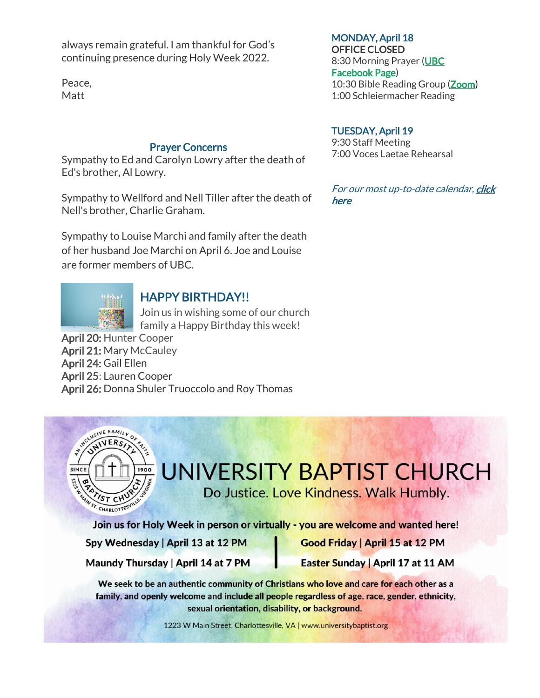always remain grateful. I am thankful for God's continuing presence during Holy Week 2022.

Peace, Matt

#### Prayer Concerns

Sympathy to Ed and Carolyn Lowry after the death of Ed's brother, Al Lowry.

Sympathy to Wellford and Nell Tiller after the death of Nell's brother, Charlie Graham.

Sympathy to Louise Marchi and family after the death of her husband Joe Marchi on April 6. Joe and Louise are former members of UBC.



## HAPPY BIRTHDAY!!

Join us in wishing some of our church family a Happy Birthday this week!

April 20: Hunter Cooper April 21: Mary McCauley April 24: Gail Ellen April 25: Lauren Cooper April 26: Donna Shuler Truoccolo and Roy Thomas



# UNIVERSITY BAPTIST CHURCH

Do Justice. Love Kindness. Walk Humbly.

Join us for Holy Week in person or virtually - you are welcome and wanted here!

Spy Wednesday | April 13 at 12 PM

Good Friday | April 15 at 12 PM

Maundy Thursday | April 14 at 7 PM

Easter Sunday | April 17 at 11 AM

We seek to be an authentic community of Christians who love and care for each other as a family, and openly welcome and include all people regardless of age, race, gender, ethnicity, sexual orientation, disability, or background.

1223 W Main Street, Charlottesville, VA | www.universitybaptist.org

## MONDAY, April 18

OFFICE CLOSED 8:30 Morning Prayer [\(UBC](https://www.facebook.com/UniversityBaptistChurchCharlottesville) [Facebook Page\)](https://www.facebook.com/UniversityBaptistChurchCharlottesville) 10:30 Bible Reading Group [\(Zoom\)](https://us02web.zoom.us/j/85381408096?pwd=MzdkVG9JZ2x0M2JFK01KNlNjSWtqUT09) 1:00 Schleiermacher Reading

#### TUESDAY, April 19

9:30 Staff Meeting 7:00 Voces Laetae Rehearsal

For our most up-to-date calendar, click [here](https://universitybaptist.org/calendar/)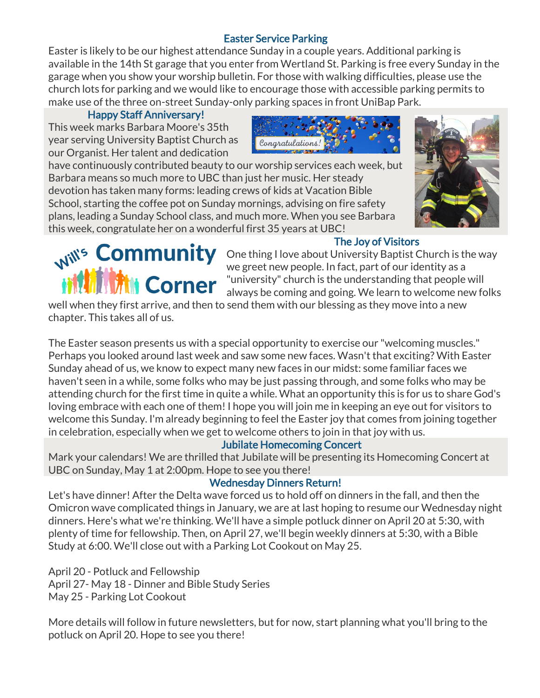## Easter Service Parking

Easter is likely to be our highest attendance Sunday in a couple years. Additional parking is available in the 14th St garage that you enter from Wertland St. Parking is free every Sunday in the garage when you show your worship bulletin. For those with walking difficulties, please use the church lots for parking and we would like to encourage those with accessible parking permits to make use of the three on-street Sunday-only parking spaces in front UniBap Park.

## Happy Staff Anniversary!

This week marks Barbara Moore's 35th year serving University Baptist Church as our Organist. Her talent and dedication



have continuously contributed beauty to our worship services each week, but Barbara means so much more to UBC than just her music. Her steady devotion has taken many forms: leading crews of kids at Vacation Bible School, starting the coffee pot on Sunday mornings, advising on fire safety plans, leading a Sunday School class, and much more. When you see Barbara this week, congratulate her on a wonderful first 35 years at UBC!



## The Joy of Visitors

One thing I love about University Baptist Church is the way we greet new people. In fact, part of our identity as a "university" church is the understanding that people will always be coming and going. We learn to welcome new folks

well when they first arrive, and then to send them with our blessing as they move into a new chapter. This takes all of us.

The Easter season presents us with a special opportunity to exercise our "welcoming muscles." Perhaps you looked around last week and saw some new faces. Wasn't that exciting? With Easter Sunday ahead of us, we know to expect many new faces in our midst: some familiar faces we haven't seen in a while, some folks who may be just passing through, and some folks who may be attending church for the first time in quite a while. What an opportunity this is for us to share God's loving embrace with each one of them! I hope you will join me in keeping an eye out for visitors to welcome this Sunday. I'm already beginning to feel the Easter joy that comes from joining together in celebration, especially when we get to welcome others to join in that joy with us.

## Jubilate Homecoming Concert

Mark your calendars! We are thrilled that Jubilate will be presenting its Homecoming Concert at UBC on Sunday, May 1 at 2:00pm. Hope to see you there!

## Wednesday Dinners Return!

Let's have dinner! After the Delta wave forced us to hold off on dinners in the fall, and then the Omicron wave complicated things in January, we are at last hoping to resume our Wednesday night dinners. Here's what we're thinking. We'll have a simple potluck dinner on April 20 at 5:30, with plenty of time for fellowship. Then, on April 27, we'll begin weekly dinners at 5:30, with a Bible Study at 6:00. We'll close out with a Parking Lot Cookout on May 25.

April 20 - Potluck and Fellowship April 27- May 18 - Dinner and Bible Study Series May 25 - Parking Lot Cookout

More details will follow in future newsletters, but for now, start planning what you'll bring to the potluck on April 20. Hope to see you there!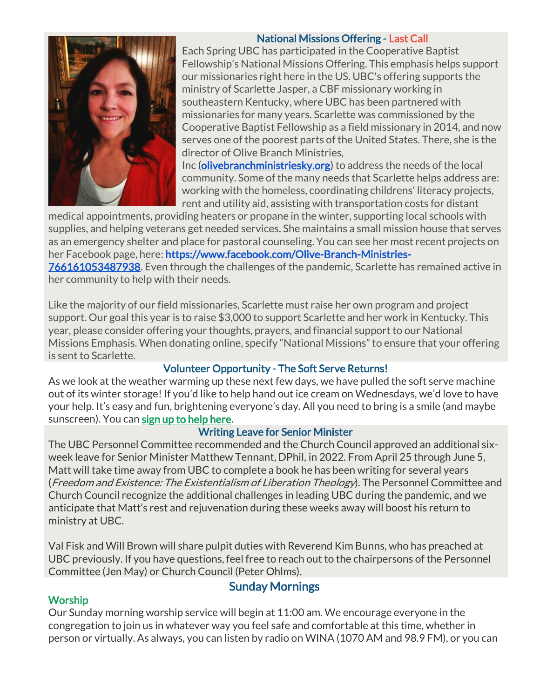## National Missions Offering - Last Call



Each Spring UBC has participated in the Cooperative Baptist Fellowship's National Missions Offering. This emphasis helps support our missionaries right here in the US. UBC's offering supports the ministry of Scarlette Jasper, a CBF missionary working in southeastern Kentucky, where UBC has been partnered with missionaries for many years. Scarlette was commissioned by the Cooperative Baptist Fellowship as a field missionary in 2014, and now serves one of the poorest parts of the United States. There, she is the director of Olive Branch Ministries,

Inc [\(olivebranchministriesky.org\)](http://olivebranchministriesky.org/) to address the needs of the local community. Some of the many needs that Scarlette helps address are: working with the homeless, coordinating childrens' literacy projects, rent and utility aid, assisting with transportation costs for distant

medical appointments, providing heaters or propane in the winter, supporting local schools with supplies, and helping veterans get needed services. She maintains a small mission house that serves as an emergency shelter and place for pastoral counseling. You can see her most recent projects on her Facebook page, here: [https://www.facebook.com/Olive-Branch-Ministries-](https://www.facebook.com/Olive-Branch-Ministries-766161053487938)[766161053487938.](https://www.facebook.com/Olive-Branch-Ministries-766161053487938) Even through the challenges of the pandemic, Scarlette has remained active in

her community to help with their needs.

Like the majority of our field missionaries, Scarlette must raise her own program and project support. Our goal this year is to raise \$3,000 to support Scarlette and her work in Kentucky. This year, please consider offering your thoughts, prayers, and financial support to our National Missions Emphasis. When donating online, specify "National Missions" to ensure that your offering is sent to Scarlette.

## Volunteer Opportunity - The Soft Serve Returns!

As we look at the weather warming up these next few days, we have pulled the soft serve machine out of its winter storage! If you'd like to help hand out ice cream on Wednesdays, we'd love to have your help. It's easy and fun, brightening everyone's day. All you need to bring is a smile (and maybe sunscreen). You can **[sign up to help here.](https://docs.google.com/document/d/1KBkQTR3x3nmWKJ1rSoSU74-feVbhhp7ucWTPgBpxmYE/edit?usp=sharing)** 

## Writing Leave for Senior Minister

The UBC Personnel Committee recommended and the Church Council approved an additional sixweek leave for Senior Minister Matthew Tennant, DPhil, in 2022. From April 25 through June 5, Matt will take time away from UBC to complete a book he has been writing for several years (*Freedom and Existence: The Existentialism of Liberation Theology*). The Personnel Committee and Church Council recognize the additional challenges in leading UBC during the pandemic, and we anticipate that Matt's rest and rejuvenation during these weeks away will boost his return to ministry at UBC.

Val Fisk and Will Brown will share pulpit duties with Reverend Kim Bunns, who has preached at UBC previously. If you have questions, feel free to reach out to the chairpersons of the Personnel Committee (Jen May) or Church Council (Peter Ohlms).

## **Worship**

## Sunday Mornings

Our Sunday morning worship service will begin at 11:00 am. We encourage everyone in the congregation to join us in whatever way you feel safe and comfortable at this time, whether in person or virtually. As always, you can listen by radio on WINA (1070 AM and 98.9 FM), or you can